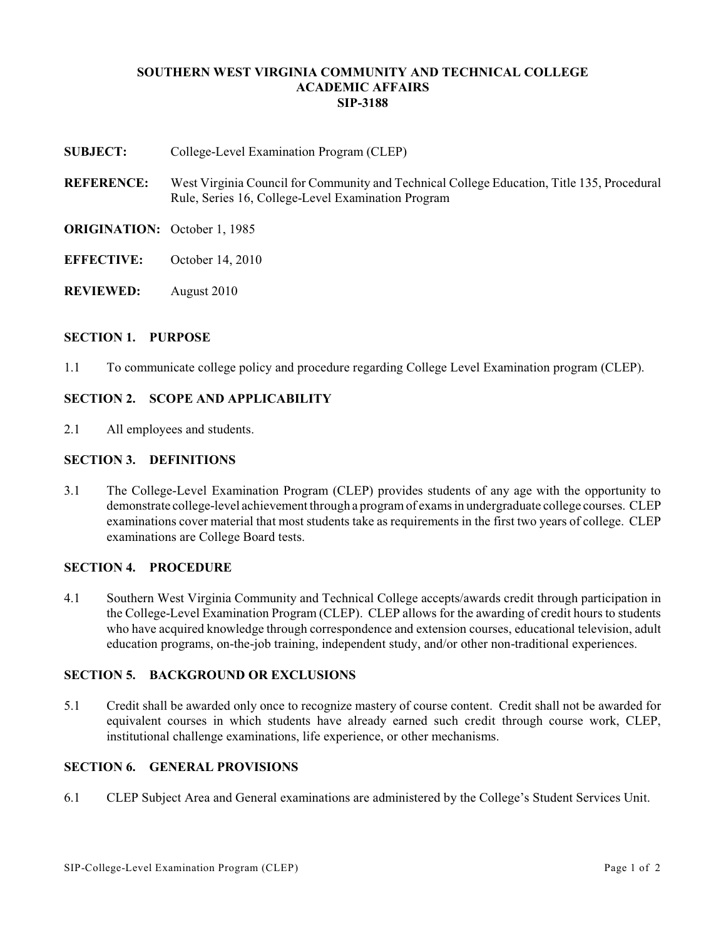### **SOUTHERN WEST VIRGINIA COMMUNITY AND TECHNICAL COLLEGE ACADEMIC AFFAIRS SIP-3188**

- **SUBJECT:** College-Level Examination Program (CLEP)
- **REFERENCE:** West Virginia Council for Community and Technical College Education, Title 135, Procedural Rule, Series 16, College-Level Examination Program
- **ORIGINATION:** October 1, 1985
- **EFFECTIVE:** October 14, 2010
- **REVIEWED:** August 2010

#### **SECTION 1. PURPOSE**

1.1 To communicate college policy and procedure regarding College Level Examination program (CLEP).

# **SECTION 2. SCOPE AND APPLICABILITY**

2.1 All employees and students.

### **SECTION 3. DEFINITIONS**

3.1 The College-Level Examination Program (CLEP) provides students of any age with the opportunity to demonstrate college-level achievement through a programof exams in undergraduate college courses. CLEP examinations cover material that most students take as requirements in the first two years of college. CLEP examinations are College Board tests.

## **SECTION 4. PROCEDURE**

4.1 Southern West Virginia Community and Technical College accepts/awards credit through participation in the College-Level Examination Program (CLEP). CLEP allows for the awarding of credit hours to students who have acquired knowledge through correspondence and extension courses, educational television, adult education programs, on-the-job training, independent study, and/or other non-traditional experiences.

#### **SECTION 5. BACKGROUND OR EXCLUSIONS**

5.1 Credit shall be awarded only once to recognize mastery of course content. Credit shall not be awarded for equivalent courses in which students have already earned such credit through course work, CLEP, institutional challenge examinations, life experience, or other mechanisms.

### **SECTION 6. GENERAL PROVISIONS**

6.1 CLEP Subject Area and General examinations are administered by the College's Student Services Unit.